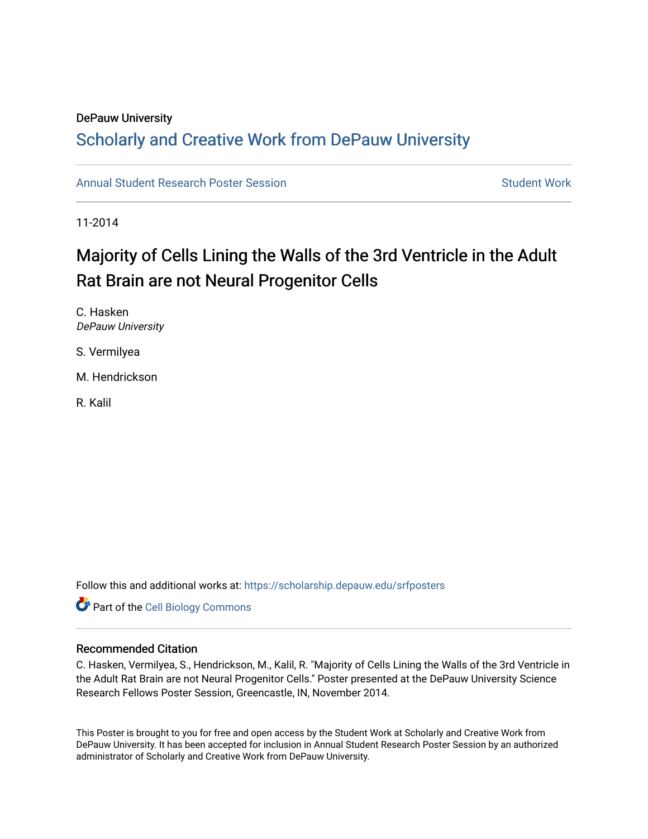### DePauw University

## Scholarly and [Creative Work from DePauw Univ](https://scholarship.depauw.edu/)ersity

[Annual Student Research Poster Session](https://scholarship.depauw.edu/srfposters) Student Work

11-2014

## Majority of Cells Lining the Walls of the 3rd Ventricle in the Adult Rat Brain are not Neural Progenitor Cells

C. Hasken DePauw University

S. Vermilyea

M. Hendrickson

R. Kalil

Follow this and additional works at: [https://scholarship.depauw.edu/srfposters](https://scholarship.depauw.edu/srfposters?utm_source=scholarship.depauw.edu%2Fsrfposters%2F3&utm_medium=PDF&utm_campaign=PDFCoverPages) 

**Part of the Cell Biology Commons** 

### Recommended Citation

C. Hasken, Vermilyea, S., Hendrickson, M., Kalil, R. "Majority of Cells Lining the Walls of the 3rd Ventricle in the Adult Rat Brain are not Neural Progenitor Cells." Poster presented at the DePauw University Science Research Fellows Poster Session, Greencastle, IN, November 2014.

This Poster is brought to you for free and open access by the Student Work at Scholarly and Creative Work from DePauw University. It has been accepted for inclusion in Annual Student Research Poster Session by an authorized administrator of Scholarly and Creative Work from DePauw University.